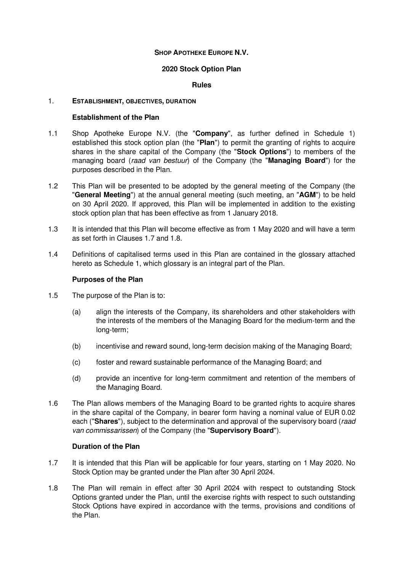## **SHOP APOTHEKE EUROPE N.V.**

### **2020 Stock Option Plan**

### **Rules**

### 1. **ESTABLISHMENT, OBJECTIVES, DURATION**

## **Establishment of the Plan**

- 1.1 Shop Apotheke Europe N.V. (the "**Company**", as further defined in Schedule 1) established this stock option plan (the "**Plan**") to permit the granting of rights to acquire shares in the share capital of the Company (the "**Stock Options**") to members of the managing board (raad van bestuur) of the Company (the "**Managing Board**") for the purposes described in the Plan.
- 1.2 This Plan will be presented to be adopted by the general meeting of the Company (the "**General Meeting**") at the annual general meeting (such meeting, an "**AGM**") to be held on 30 April 2020. If approved, this Plan will be implemented in addition to the existing stock option plan that has been effective as from 1 January 2018.
- 1.3 It is intended that this Plan will become effective as from 1 May 2020 and will have a term as set forth in Clauses 1.7 and 1.8.
- 1.4 Definitions of capitalised terms used in this Plan are contained in the glossary attached hereto as Schedule 1, which glossary is an integral part of the Plan.

## **Purposes of the Plan**

- 1.5 The purpose of the Plan is to:
	- (a) align the interests of the Company, its shareholders and other stakeholders with the interests of the members of the Managing Board for the medium-term and the long-term;
	- (b) incentivise and reward sound, long-term decision making of the Managing Board;
	- (c) foster and reward sustainable performance of the Managing Board; and
	- (d) provide an incentive for long-term commitment and retention of the members of the Managing Board.
- 1.6 The Plan allows members of the Managing Board to be granted rights to acquire shares in the share capital of the Company, in bearer form having a nominal value of EUR 0.02 each ("**Shares**"), subject to the determination and approval of the supervisory board (raad van commissarissen) of the Company (the "**Supervisory Board**").

#### **Duration of the Plan**

- 1.7 It is intended that this Plan will be applicable for four years, starting on 1 May 2020. No Stock Option may be granted under the Plan after 30 April 2024.
- 1.8 The Plan will remain in effect after 30 April 2024 with respect to outstanding Stock Options granted under the Plan, until the exercise rights with respect to such outstanding Stock Options have expired in accordance with the terms, provisions and conditions of the Plan.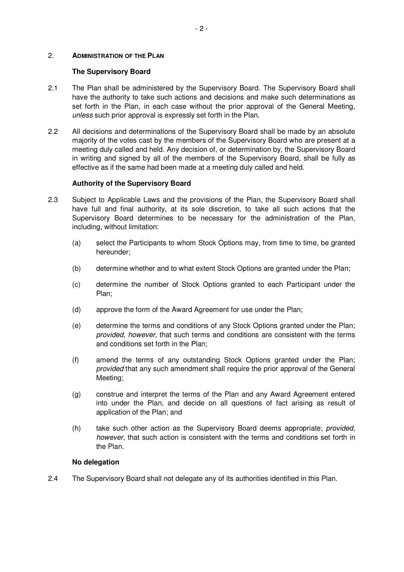#### 2. **ADMINISTRATION OF THE PLAN**

### **The Supervisory Board**

- 2.1 The Plan shall be administered by the Supervisory Board. The Supervisory Board shall have the authority to take such actions and decisions and make such determinations as set forth in the Plan, in each case without the prior approval of the General Meeting, unless such prior approval is expressly set forth in the Plan.
- 2.2 All decisions and determinations of the Supervisory Board shall be made by an absolute majority of the votes cast by the members of the Supervisory Board who are present at a meeting duly called and held. Any decision of, or determination by, the Supervisory Board in writing and signed by all of the members of the Supervisory Board, shall be fully as effective as if the same had been made at a meeting duly called and held.

## **Authority of the Supervisory Board**

- 2.3 Subject to Applicable Laws and the provisions of the Plan, the Supervisory Board shall have full and final authority, at its sole discretion, to take all such actions that the Supervisory Board determines to be necessary for the administration of the Plan, including, without limitation:
	- (a) select the Participants to whom Stock Options may, from time to time, be granted hereunder;
	- (b) determine whether and to what extent Stock Options are granted under the Plan;
	- (c) determine the number of Stock Options granted to each Participant under the Plan;
	- (d) approve the form of the Award Agreement for use under the Plan;
	- (e) determine the terms and conditions of any Stock Options granted under the Plan; provided, however, that such terms and conditions are consistent with the terms and conditions set forth in the Plan;
	- (f) amend the terms of any outstanding Stock Options granted under the Plan; provided that any such amendment shall require the prior approval of the General Meeting;
	- (g) construe and interpret the terms of the Plan and any Award Agreement entered into under the Plan, and decide on all questions of fact arising as result of application of the Plan; and
	- (h) take such other action as the Supervisory Board deems appropriate; provided, however, that such action is consistent with the terms and conditions set forth in the Plan.

## **No delegation**

2.4 The Supervisory Board shall not delegate any of its authorities identified in this Plan.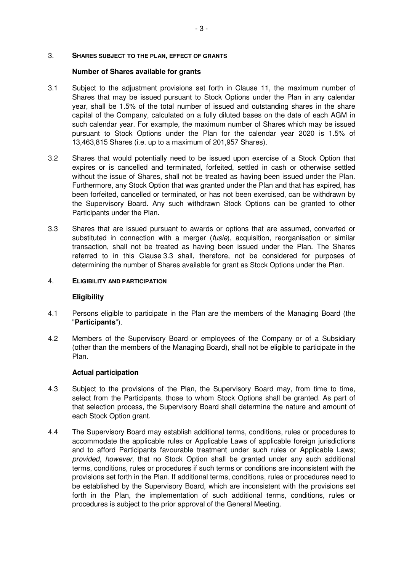#### 3. **SHARES SUBJECT TO THE PLAN, EFFECT OF GRANTS**

#### **Number of Shares available for grants**

- 3.1 Subject to the adjustment provisions set forth in Clause 11, the maximum number of Shares that may be issued pursuant to Stock Options under the Plan in any calendar year, shall be 1.5% of the total number of issued and outstanding shares in the share capital of the Company, calculated on a fully diluted bases on the date of each AGM in such calendar year. For example, the maximum number of Shares which may be issued pursuant to Stock Options under the Plan for the calendar year 2020 is 1.5% of 13,463,815 Shares (i.e. up to a maximum of 201,957 Shares).
- 3.2 Shares that would potentially need to be issued upon exercise of a Stock Option that expires or is cancelled and terminated, forfeited, settled in cash or otherwise settled without the issue of Shares, shall not be treated as having been issued under the Plan. Furthermore, any Stock Option that was granted under the Plan and that has expired, has been forfeited, cancelled or terminated, or has not been exercised, can be withdrawn by the Supervisory Board. Any such withdrawn Stock Options can be granted to other Participants under the Plan.
- 3.3 Shares that are issued pursuant to awards or options that are assumed, converted or substituted in connection with a merger *(fusie)*, acquisition, reorganisation or similar transaction, shall not be treated as having been issued under the Plan. The Shares referred to in this Clause 3.3 shall, therefore, not be considered for purposes of determining the number of Shares available for grant as Stock Options under the Plan.
- 4. **ELIGIBILITY AND PARTICIPATION**

#### **Eligibility**

- 4.1 Persons eligible to participate in the Plan are the members of the Managing Board (the "**Participants**").
- 4.2 Members of the Supervisory Board or employees of the Company or of a Subsidiary (other than the members of the Managing Board), shall not be eligible to participate in the Plan.

#### **Actual participation**

- 4.3 Subject to the provisions of the Plan, the Supervisory Board may, from time to time, select from the Participants, those to whom Stock Options shall be granted. As part of that selection process, the Supervisory Board shall determine the nature and amount of each Stock Option grant.
- 4.4 The Supervisory Board may establish additional terms, conditions, rules or procedures to accommodate the applicable rules or Applicable Laws of applicable foreign jurisdictions and to afford Participants favourable treatment under such rules or Applicable Laws; provided, however, that no Stock Option shall be granted under any such additional terms, conditions, rules or procedures if such terms or conditions are inconsistent with the provisions set forth in the Plan. If additional terms, conditions, rules or procedures need to be established by the Supervisory Board, which are inconsistent with the provisions set forth in the Plan, the implementation of such additional terms, conditions, rules or procedures is subject to the prior approval of the General Meeting.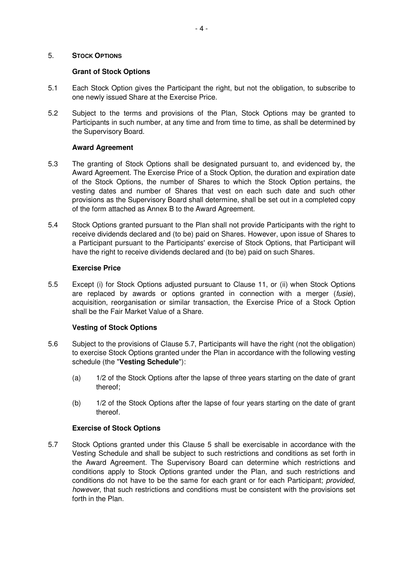#### 5. **STOCK OPTIONS**

## **Grant of Stock Options**

- 5.1 Each Stock Option gives the Participant the right, but not the obligation, to subscribe to one newly issued Share at the Exercise Price.
- 5.2 Subject to the terms and provisions of the Plan, Stock Options may be granted to Participants in such number, at any time and from time to time, as shall be determined by the Supervisory Board.

## **Award Agreement**

- 5.3 The granting of Stock Options shall be designated pursuant to, and evidenced by, the Award Agreement. The Exercise Price of a Stock Option, the duration and expiration date of the Stock Options, the number of Shares to which the Stock Option pertains, the vesting dates and number of Shares that vest on each such date and such other provisions as the Supervisory Board shall determine, shall be set out in a completed copy of the form attached as Annex B to the Award Agreement.
- 5.4 Stock Options granted pursuant to the Plan shall not provide Participants with the right to receive dividends declared and (to be) paid on Shares. However, upon issue of Shares to a Participant pursuant to the Participants' exercise of Stock Options, that Participant will have the right to receive dividends declared and (to be) paid on such Shares.

## **Exercise Price**

5.5 Except (i) for Stock Options adjusted pursuant to Clause 11, or (ii) when Stock Options are replaced by awards or options granted in connection with a merger (fusie), acquisition, reorganisation or similar transaction, the Exercise Price of a Stock Option shall be the Fair Market Value of a Share.

## **Vesting of Stock Options**

- 5.6 Subject to the provisions of Clause 5.7, Participants will have the right (not the obligation) to exercise Stock Options granted under the Plan in accordance with the following vesting schedule (the "**Vesting Schedule**"):
	- (a) 1/2 of the Stock Options after the lapse of three years starting on the date of grant thereof;
	- (b) 1/2 of the Stock Options after the lapse of four years starting on the date of grant thereof.

#### **Exercise of Stock Options**

5.7 Stock Options granted under this Clause 5 shall be exercisable in accordance with the Vesting Schedule and shall be subject to such restrictions and conditions as set forth in the Award Agreement. The Supervisory Board can determine which restrictions and conditions apply to Stock Options granted under the Plan, and such restrictions and conditions do not have to be the same for each grant or for each Participant; *provided*, however, that such restrictions and conditions must be consistent with the provisions set forth in the Plan.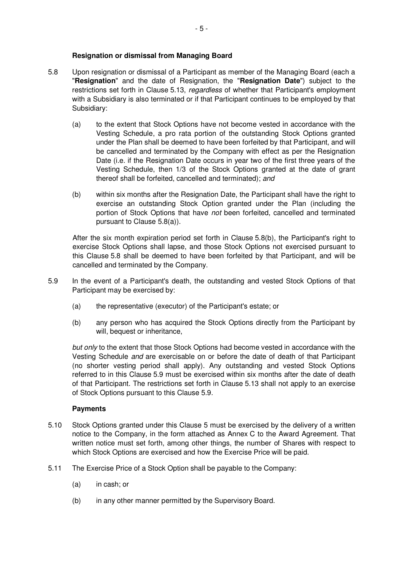## **Resignation or dismissal from Managing Board**

- 5.8 Upon resignation or dismissal of a Participant as member of the Managing Board (each a "**Resignation**" and the date of Resignation, the "**Resignation Date**") subject to the restrictions set forth in Clause 5.13, *regardless* of whether that Participant's employment with a Subsidiary is also terminated or if that Participant continues to be employed by that Subsidiary:
	- (a) to the extent that Stock Options have not become vested in accordance with the Vesting Schedule, a pro rata portion of the outstanding Stock Options granted under the Plan shall be deemed to have been forfeited by that Participant, and will be cancelled and terminated by the Company with effect as per the Resignation Date (i.e. if the Resignation Date occurs in year two of the first three years of the Vesting Schedule, then 1/3 of the Stock Options granted at the date of grant thereof shall be forfeited, cancelled and terminated); and
	- (b) within six months after the Resignation Date, the Participant shall have the right to exercise an outstanding Stock Option granted under the Plan (including the portion of Stock Options that have not been forfeited, cancelled and terminated pursuant to Clause 5.8(a)).

After the six month expiration period set forth in Clause 5.8(b), the Participant's right to exercise Stock Options shall lapse, and those Stock Options not exercised pursuant to this Clause 5.8 shall be deemed to have been forfeited by that Participant, and will be cancelled and terminated by the Company.

- 5.9 In the event of a Participant's death, the outstanding and vested Stock Options of that Participant may be exercised by:
	- (a) the representative (executor) of the Participant's estate; or
	- (b) any person who has acquired the Stock Options directly from the Participant by will, bequest or inheritance,

but only to the extent that those Stock Options had become vested in accordance with the Vesting Schedule and are exercisable on or before the date of death of that Participant (no shorter vesting period shall apply). Any outstanding and vested Stock Options referred to in this Clause 5.9 must be exercised within six months after the date of death of that Participant. The restrictions set forth in Clause 5.13 shall not apply to an exercise of Stock Options pursuant to this Clause 5.9.

#### **Payments**

- 5.10 Stock Options granted under this Clause 5 must be exercised by the delivery of a written notice to the Company, in the form attached as Annex C to the Award Agreement. That written notice must set forth, among other things, the number of Shares with respect to which Stock Options are exercised and how the Exercise Price will be paid.
- 5.11 The Exercise Price of a Stock Option shall be payable to the Company:
	- (a) in cash; or
	- (b) in any other manner permitted by the Supervisory Board.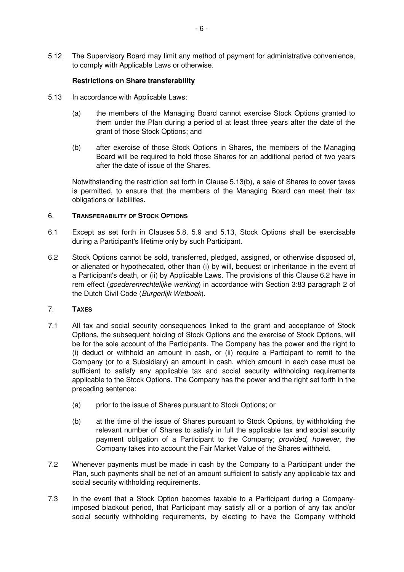5.12 The Supervisory Board may limit any method of payment for administrative convenience, to comply with Applicable Laws or otherwise.

## **Restrictions on Share transferability**

- 5.13 In accordance with Applicable Laws:
	- (a) the members of the Managing Board cannot exercise Stock Options granted to them under the Plan during a period of at least three years after the date of the grant of those Stock Options; and
	- (b) after exercise of those Stock Options in Shares, the members of the Managing Board will be required to hold those Shares for an additional period of two years after the date of issue of the Shares.

Notwithstanding the restriction set forth in Clause 5.13(b), a sale of Shares to cover taxes is permitted, to ensure that the members of the Managing Board can meet their tax obligations or liabilities.

#### 6. **TRANSFERABILITY OF STOCK OPTIONS**

- 6.1 Except as set forth in Clauses 5.8, 5.9 and 5.13, Stock Options shall be exercisable during a Participant's lifetime only by such Participant.
- 6.2 Stock Options cannot be sold, transferred, pledged, assigned, or otherwise disposed of, or alienated or hypothecated, other than (i) by will, bequest or inheritance in the event of a Participant's death, or (ii) by Applicable Laws. The provisions of this Clause 6.2 have in rem effect (goederenrechtelijke werking) in accordance with Section 3:83 paragraph 2 of the Dutch Civil Code (Burgerlijk Wetboek).

# 7. **TAXES**

- 7.1 All tax and social security consequences linked to the grant and acceptance of Stock Options, the subsequent holding of Stock Options and the exercise of Stock Options, will be for the sole account of the Participants. The Company has the power and the right to (i) deduct or withhold an amount in cash, or (ii) require a Participant to remit to the Company (or to a Subsidiary) an amount in cash, which amount in each case must be sufficient to satisfy any applicable tax and social security withholding requirements applicable to the Stock Options. The Company has the power and the right set forth in the preceding sentence:
	- (a) prior to the issue of Shares pursuant to Stock Options; or
	- (b) at the time of the issue of Shares pursuant to Stock Options, by withholding the relevant number of Shares to satisfy in full the applicable tax and social security payment obligation of a Participant to the Company; provided, however, the Company takes into account the Fair Market Value of the Shares withheld.
- 7.2 Whenever payments must be made in cash by the Company to a Participant under the Plan, such payments shall be net of an amount sufficient to satisfy any applicable tax and social security withholding requirements.
- 7.3 In the event that a Stock Option becomes taxable to a Participant during a Companyimposed blackout period, that Participant may satisfy all or a portion of any tax and/or social security withholding requirements, by electing to have the Company withhold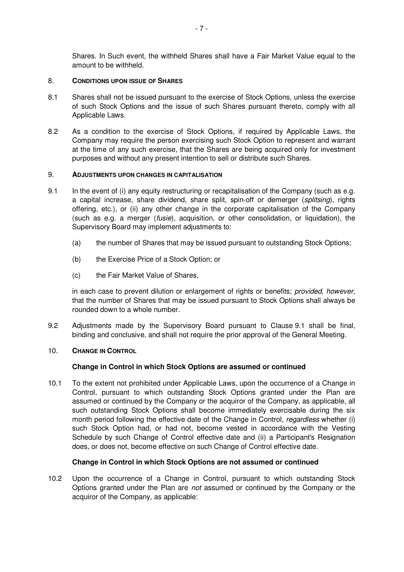Shares. In Such event, the withheld Shares shall have a Fair Market Value equal to the amount to be withheld.

## 8. **CONDITIONS UPON ISSUE OF SHARES**

- 8.1 Shares shall not be issued pursuant to the exercise of Stock Options, unless the exercise of such Stock Options and the issue of such Shares pursuant thereto, comply with all Applicable Laws.
- 8.2 As a condition to the exercise of Stock Options, if required by Applicable Laws, the Company may require the person exercising such Stock Option to represent and warrant at the time of any such exercise, that the Shares are being acquired only for investment purposes and without any present intention to sell or distribute such Shares.

## 9. **ADJUSTMENTS UPON CHANGES IN CAPITALISATION**

- 9.1 In the event of (i) any equity restructuring or recapitalisation of the Company (such as e.g. a capital increase, share dividend, share split, spin-off or demerger (splitsing), rights offering, etc.), or (ii) any other change in the corporate capitalisation of the Company (such as e.g. a merger (fusie), acquisition, or other consolidation, or liquidation), the Supervisory Board may implement adjustments to:
	- (a) the number of Shares that may be issued pursuant to outstanding Stock Options;
	- (b) the Exercise Price of a Stock Option; or
	- (c) the Fair Market Value of Shares,

in each case to prevent dilution or enlargement of rights or benefits; provided, however, that the number of Shares that may be issued pursuant to Stock Options shall always be rounded down to a whole number.

9.2 Adjustments made by the Supervisory Board pursuant to Clause 9.1 shall be final, binding and conclusive, and shall not require the prior approval of the General Meeting.

## 10. **CHANGE IN CONTROL**

## **Change in Control in which Stock Options are assumed or continued**

10.1 To the extent not prohibited under Applicable Laws, upon the occurrence of a Change in Control, pursuant to which outstanding Stock Options granted under the Plan are assumed or continued by the Company or the acquiror of the Company, as applicable, all such outstanding Stock Options shall become immediately exercisable during the six month period following the effective date of the Change in Control, regardless whether (i) such Stock Option had, or had not, become vested in accordance with the Vesting Schedule by such Change of Control effective date and (ii) a Participant's Resignation does, or does not, become effective on such Change of Control effective date.

## **Change in Control in which Stock Options are not assumed or continued**

10.2 Upon the occurrence of a Change in Control, pursuant to which outstanding Stock Options granted under the Plan are not assumed or continued by the Company or the acquiror of the Company, as applicable: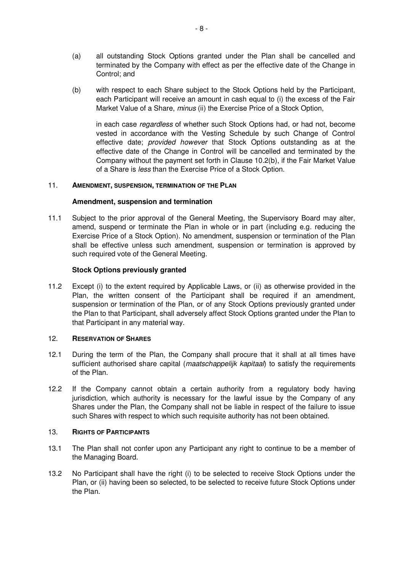- (a) all outstanding Stock Options granted under the Plan shall be cancelled and terminated by the Company with effect as per the effective date of the Change in Control; and
- (b) with respect to each Share subject to the Stock Options held by the Participant, each Participant will receive an amount in cash equal to (i) the excess of the Fair Market Value of a Share, minus (ii) the Exercise Price of a Stock Option,

in each case regardless of whether such Stock Options had, or had not, become vested in accordance with the Vesting Schedule by such Change of Control effective date; provided however that Stock Options outstanding as at the effective date of the Change in Control will be cancelled and terminated by the Company without the payment set forth in Clause 10.2(b), if the Fair Market Value of a Share is less than the Exercise Price of a Stock Option.

## 11. **AMENDMENT, SUSPENSION, TERMINATION OF THE PLAN**

## **Amendment, suspension and termination**

11.1 Subject to the prior approval of the General Meeting, the Supervisory Board may alter, amend, suspend or terminate the Plan in whole or in part (including e.g. reducing the Exercise Price of a Stock Option). No amendment, suspension or termination of the Plan shall be effective unless such amendment, suspension or termination is approved by such required vote of the General Meeting.

## **Stock Options previously granted**

11.2 Except (i) to the extent required by Applicable Laws, or (ii) as otherwise provided in the Plan, the written consent of the Participant shall be required if an amendment, suspension or termination of the Plan, or of any Stock Options previously granted under the Plan to that Participant, shall adversely affect Stock Options granted under the Plan to that Participant in any material way.

## 12. **RESERVATION OF SHARES**

- 12.1 During the term of the Plan, the Company shall procure that it shall at all times have sufficient authorised share capital (*maatschappelijk kapitaal*) to satisfy the requirements of the Plan.
- 12.2 If the Company cannot obtain a certain authority from a regulatory body having jurisdiction, which authority is necessary for the lawful issue by the Company of any Shares under the Plan, the Company shall not be liable in respect of the failure to issue such Shares with respect to which such requisite authority has not been obtained.

#### 13. **RIGHTS OF PARTICIPANTS**

- 13.1 The Plan shall not confer upon any Participant any right to continue to be a member of the Managing Board.
- 13.2 No Participant shall have the right (i) to be selected to receive Stock Options under the Plan, or (ii) having been so selected, to be selected to receive future Stock Options under the Plan.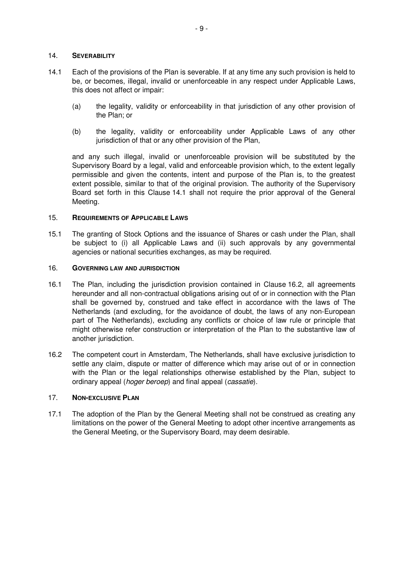#### 14. **SEVERABILITY**

- 14.1 Each of the provisions of the Plan is severable. If at any time any such provision is held to be, or becomes, illegal, invalid or unenforceable in any respect under Applicable Laws, this does not affect or impair:
	- (a) the legality, validity or enforceability in that jurisdiction of any other provision of the Plan; or
	- (b) the legality, validity or enforceability under Applicable Laws of any other jurisdiction of that or any other provision of the Plan,

and any such illegal, invalid or unenforceable provision will be substituted by the Supervisory Board by a legal, valid and enforceable provision which, to the extent legally permissible and given the contents, intent and purpose of the Plan is, to the greatest extent possible, similar to that of the original provision. The authority of the Supervisory Board set forth in this Clause 14.1 shall not require the prior approval of the General Meeting.

#### 15. **REQUIREMENTS OF APPLICABLE LAWS**

15.1 The granting of Stock Options and the issuance of Shares or cash under the Plan, shall be subject to (i) all Applicable Laws and (ii) such approvals by any governmental agencies or national securities exchanges, as may be required.

#### 16. **GOVERNING LAW AND JURISDICTION**

- 16.1 The Plan, including the jurisdiction provision contained in Clause 16.2, all agreements hereunder and all non-contractual obligations arising out of or in connection with the Plan shall be governed by, construed and take effect in accordance with the laws of The Netherlands (and excluding, for the avoidance of doubt, the laws of any non-European part of The Netherlands), excluding any conflicts or choice of law rule or principle that might otherwise refer construction or interpretation of the Plan to the substantive law of another jurisdiction.
- 16.2 The competent court in Amsterdam, The Netherlands, shall have exclusive jurisdiction to settle any claim, dispute or matter of difference which may arise out of or in connection with the Plan or the legal relationships otherwise established by the Plan, subject to ordinary appeal (hoger beroep) and final appeal (cassatie).

## 17. **NON-EXCLUSIVE PLAN**

17.1 The adoption of the Plan by the General Meeting shall not be construed as creating any limitations on the power of the General Meeting to adopt other incentive arrangements as the General Meeting, or the Supervisory Board, may deem desirable.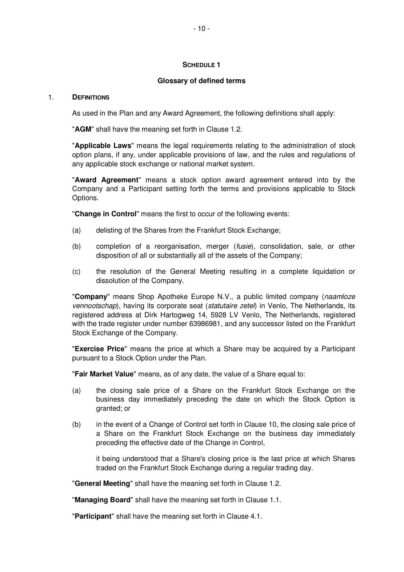## **SCHEDULE 1**

## **Glossary of defined terms**

#### 1. **DEFINITIONS**

As used in the Plan and any Award Agreement, the following definitions shall apply:

"**AGM**" shall have the meaning set forth in Clause 1.2.

"**Applicable Laws**" means the legal requirements relating to the administration of stock option plans, if any, under applicable provisions of law, and the rules and regulations of any applicable stock exchange or national market system.

"**Award Agreement**" means a stock option award agreement entered into by the Company and a Participant setting forth the terms and provisions applicable to Stock Options.

"**Change in Control**" means the first to occur of the following events:

- (a) delisting of the Shares from the Frankfurt Stock Exchange;
- (b) completion of a reorganisation, merger (fusie), consolidation, sale, or other disposition of all or substantially all of the assets of the Company;
- (c) the resolution of the General Meeting resulting in a complete liquidation or dissolution of the Company.

"**Company**" means Shop Apotheke Europe N.V., a public limited company (naamloze vennootschap), having its corporate seat (statutaire zetel) in Venlo, The Netherlands, its registered address at Dirk Hartogweg 14, 5928 LV Venlo, The Netherlands, registered with the trade register under number 63986981, and any successor listed on the Frankfurt Stock Exchange of the Company.

"**Exercise Price**" means the price at which a Share may be acquired by a Participant pursuant to a Stock Option under the Plan.

"**Fair Market Value**" means, as of any date, the value of a Share equal to:

- (a) the closing sale price of a Share on the Frankfurt Stock Exchange on the business day immediately preceding the date on which the Stock Option is granted; or
- (b) in the event of a Change of Control set forth in Clause 10, the closing sale price of a Share on the Frankfurt Stock Exchange on the business day immediately preceding the effective date of the Change in Control,

it being understood that a Share's closing price is the last price at which Shares traded on the Frankfurt Stock Exchange during a regular trading day.

"**General Meeting**" shall have the meaning set forth in Clause 1.2.

"**Managing Board**" shall have the meaning set forth in Clause 1.1.

"**Participant**" shall have the meaning set forth in Clause 4.1.